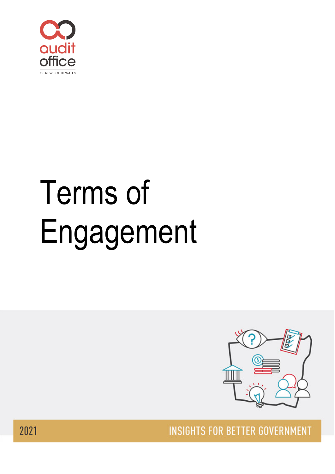

# Terms of Engagement



**INSIGHTS FOR BETTER GOVERNMENT** 

2021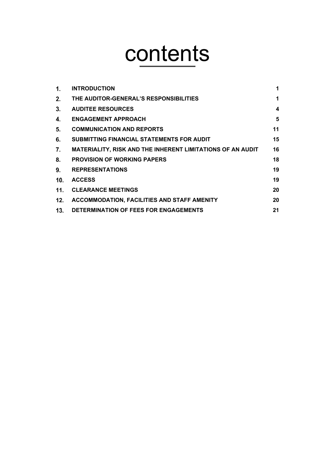# contents

| 1.              | <b>INTRODUCTION</b>                                               | 1  |
|-----------------|-------------------------------------------------------------------|----|
| 2.              | THE AUDITOR-GENERAL'S RESPONSIBILITIES                            | 1  |
| 3.              | <b>AUDITEE RESOURCES</b>                                          | 4  |
| 4.              | <b>ENGAGEMENT APPROACH</b>                                        | 5  |
| 5.              | <b>COMMUNICATION AND REPORTS</b>                                  | 11 |
| 6.              | SUBMITTING FINANCIAL STATEMENTS FOR AUDIT                         | 15 |
| 7.              | <b>MATERIALITY, RISK AND THE INHERENT LIMITATIONS OF AN AUDIT</b> | 16 |
| 8.              | <b>PROVISION OF WORKING PAPERS</b>                                | 18 |
| 9.              | <b>REPRESENTATIONS</b>                                            | 19 |
| 10.             | <b>ACCESS</b>                                                     | 19 |
| 11 <sub>1</sub> | <b>CLEARANCE MEETINGS</b>                                         | 20 |
| 12.             | ACCOMMODATION, FACILITIES AND STAFF AMENITY                       | 20 |
| 13.             | DETERMINATION OF FEES FOR ENGAGEMENTS                             | 21 |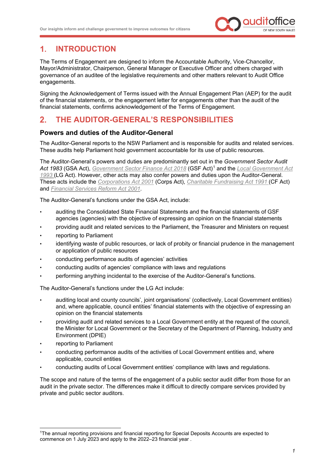

#### <span id="page-2-0"></span> $1<sup>1</sup>$ **INTRODUCTION**

The Terms of Engagement are designed to inform the Accountable Authority, Vice-Chancellor, Mayor/Administrator, Chairperson, General Manager or Executive Officer and others charged with governance of an auditee of the legislative requirements and other matters relevant to Audit Office engagements.

Signing the Acknowledgement of Terms issued with the Annual Engagement Plan (AEP) for the audit of the financial statements, or the engagement letter for engagements other than the audit of the financial statements, confirms acknowledgement of the Terms of Engagement.

#### <span id="page-2-1"></span> $2.$ **THE AUDITOR-GENERAL'S RESPONSIBILITIES**

#### **Powers and duties of the Auditor-General**

The Auditor-General reports to the NSW Parliament and is responsible for audits and related services. These audits help Parliament hold government accountable for its use of public resources.

The Auditor-General's powers and duties are predominantly set out in the *Government Sector Audit Act 1983* (GSA Act), *[Government Sector Finance Act 2018](https://legislation.nsw.gov.au/view/html/inforce/current/act-1983-152)* (GSF Act)[1](#page-2-2) and the *[Local Government Act](http://www.legislation.nsw.gov.au/#/view/act/1993/30)  [1993](http://www.legislation.nsw.gov.au/#/view/act/1993/30)* (LG Act). However, other acts may also confer powers and duties upon the Auditor-General. These acts include the *[Corporations Act 2001](https://www.legislation.gov.au/Details/C2020C00219)* (Corps Act), *[Charitable Fundraising Act 1991](https://www.legislation.nsw.gov.au/#/view/act/1991/69)* (CF Act) and *[Financial Services Reform Act 2001](https://www.legislation.gov.au/Details/C2005C00498)*.

The Auditor-General's functions under the GSA Act, include:

- auditing the Consolidated State Financial Statements and the financial statements of GSF agencies (agencies) with the objective of expressing an opinion on the financial statements
- providing audit and related services to the Parliament, the Treasurer and Ministers on request
- reporting to Parliament
- identifying waste of public resources, or lack of probity or financial prudence in the management or application of public resources
- conducting performance audits of agencies' activities
- conducting audits of agencies' compliance with laws and regulations
- performing anything incidental to the exercise of the Auditor-General's functions.

The Auditor-General's functions under the LG Act include:

- auditing local and county councils', joint organisations' (collectively, Local Government entities) and, where applicable, council entities' financial statements with the objective of expressing an opinion on the financial statements
- providing audit and related services to a Local Government entity at the request of the council, the Minister for Local Government or the Secretary of the Department of Planning, Industry and Environment (DPIE)
- reporting to Parliament
- conducting performance audits of the activities of Local Government entities and, where applicable, council entities
- conducting audits of Local Government entities' compliance with laws and regulations.

The scope and nature of the terms of the engagement of a public sector audit differ from those for an audit in the private sector. The differences make it difficult to directly compare services provided by private and public sector auditors.

<span id="page-2-2"></span><sup>1</sup>The annual reporting provisions and financial reporting for Special Deposits Accounts are expected to commence on 1 July 2023 and apply to the 2022–23 financial year .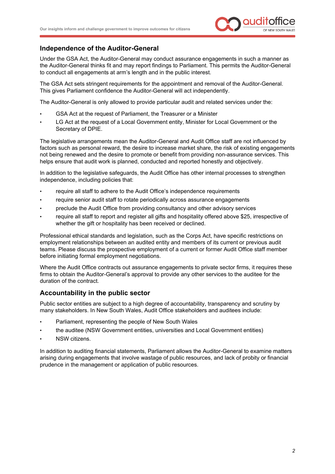

#### **Independence of the Auditor-General**

Under the GSA Act, the Auditor-General may conduct assurance engagements in such a manner as the Auditor-General thinks fit and may report findings to Parliament. This permits the Auditor-General to conduct all engagements at arm's length and in the public interest.

The GSA Act sets stringent requirements for the appointment and removal of the Auditor-General. This gives Parliament confidence the Auditor-General will act independently.

The Auditor-General is only allowed to provide particular audit and related services under the:

- GSA Act at the request of Parliament, the Treasurer or a Minister
- LG Act at the request of a Local Government entity, Minister for Local Government or the Secretary of DPIE.

The legislative arrangements mean the Auditor-General and Audit Office staff are not influenced by factors such as personal reward, the desire to increase market share, the risk of existing engagements not being renewed and the desire to promote or benefit from providing non-assurance services. This helps ensure that audit work is planned, conducted and reported honestly and objectively.

In addition to the legislative safeguards, the Audit Office has other internal processes to strengthen independence, including policies that:

- require all staff to adhere to the Audit Office's independence requirements
- require senior audit staff to rotate periodically across assurance engagements
- preclude the Audit Office from providing consultancy and other advisory services
- require all staff to report and register all gifts and hospitality offered above \$25, irrespective of whether the gift or hospitality has been received or declined.

Professional ethical standards and legislation, such as the Corps Act, have specific restrictions on employment relationships between an audited entity and members of its current or previous audit teams. Please discuss the prospective employment of a current or former Audit Office staff member before initiating formal employment negotiations.

Where the Audit Office contracts out assurance engagements to private sector firms, it requires these firms to obtain the Auditor-General's approval to provide any other services to the auditee for the duration of the contract.

#### **Accountability in the public sector**

Public sector entities are subject to a high degree of accountability, transparency and scrutiny by many stakeholders. In New South Wales, Audit Office stakeholders and auditees include:

- Parliament, representing the people of New South Wales
- the auditee (NSW Government entities, universities and Local Government entities)
- NSW citizens.

In addition to auditing financial statements, Parliament allows the Auditor-General to examine matters arising during engagements that involve wastage of public resources, and lack of probity or financial prudence in the management or application of public resources.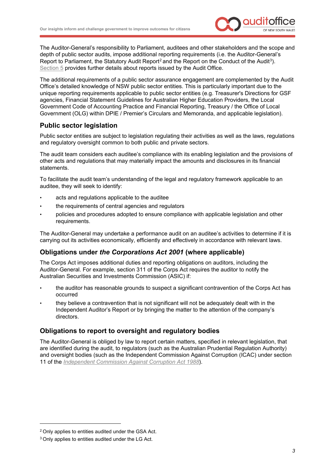

The Auditor-General's responsibility to Parliament, auditees and other stakeholders and the scope and depth of public sector audits, impose additional reporting requirements (i.e. the Auditor-General's Report to Parliament, the Statutory Audit Report<sup>[2](#page-4-0)</sup> and the Report on the Conduct of the Audit<sup>[3](#page-4-1)</sup>). [Section](#page-12-0) 5 provides further details about reports issued by the Audit Office.

The additional requirements of a public sector assurance engagement are complemented by the Audit Office's detailed knowledge of NSW public sector entities. This is particularly important due to the unique reporting requirements applicable to public sector entities (e.g. Treasurer's Directions for GSF agencies, Financial Statement Guidelines for Australian Higher Education Providers, the Local Government Code of Accounting Practice and Financial Reporting, Treasury / the Office of Local Government (OLG) within DPIE / Premier's Circulars and Memoranda, and applicable legislation).

#### **Public sector legislation**

Public sector entities are subject to legislation regulating their activities as well as the laws, regulations and regulatory oversight common to both public and private sectors.

The audit team considers each auditee's compliance with its enabling legislation and the provisions of other acts and regulations that may materially impact the amounts and disclosures in its financial statements.

To facilitate the audit team's understanding of the legal and regulatory framework applicable to an auditee, they will seek to identify:

- acts and regulations applicable to the auditee
- the requirements of central agencies and regulators
- policies and procedures adopted to ensure compliance with applicable legislation and other requirements.

The Auditor-General may undertake a performance audit on an auditee's activities to determine if it is carrying out its activities economically, efficiently and effectively in accordance with relevant laws.

#### **Obligations under** *the Corporations Act 2001* **(where applicable)**

The Corps Act imposes additional duties and reporting obligations on auditors, including the Auditor-General. For example, section 311 of the Corps Act requires the auditor to notify the Australian Securities and Investments Commission (ASIC) if:

- the auditor has reasonable grounds to suspect a significant contravention of the Corps Act has occurred
- they believe a contravention that is not significant will not be adequately dealt with in the Independent Auditor's Report or by bringing the matter to the attention of the company's directors.

#### **Obligations to report to oversight and regulatory bodies**

The Auditor-General is obliged by law to report certain matters, specified in relevant legislation, that are identified during the audit, to regulators (such as the Australian Prudential Regulation Authority) and oversight bodies (such as the Independent Commission Against Corruption (ICAC) under section 11 of the *[Independent Commission Against Corruption Act 1988](https://www.legislation.nsw.gov.au/view/html/inforce/current/act-1988-035#sec.11)*).

<span id="page-4-0"></span><sup>2</sup> Only applies to entities audited under the GSA Act.

<span id="page-4-1"></span><sup>3</sup> Only applies to entities audited under the LG Act.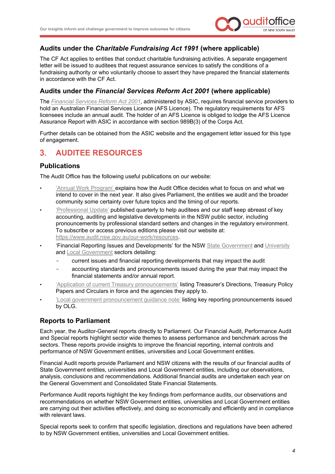

#### **Audits under the** *Charitable Fundraising Act 1991* **(where applicable)**

The CF Act applies to entities that conduct charitable fundraising activities. A separate engagement letter will be issued to auditees that request assurance services to satisfy the conditions of a fundraising authority or who voluntarily choose to assert they have prepared the financial statements in accordance with the CF Act.

#### **Audits under the** *Financial Services Reform Act 2001* **(where applicable)**

The *[Financial Services Reform Act 2001](https://www.legislation.gov.au/Details/C2005C00498)*, administered by ASIC, requires financial service providers to hold an Australian Financial Services Licence (AFS Licence). The regulatory requirements for AFS licensees include an annual audit. The holder of an AFS Licence is obliged to lodge the AFS Licence Assurance Report with ASIC in accordance with section 989B(3) of the Corps Act.

Further details can be obtained from the ASIC website and the engagement letter issued for this type of engagement.

#### <span id="page-5-0"></span>**AUDITEE RESOURCES**  $3<sub>1</sub>$

#### **Publications**

The Audit Office has the following useful publications on our website:

- ['Annual Work Program'](https://www.audit.nsw.gov.au/our-work/audit-program) explains how the Audit Office decides what to focus on and what we intend to cover in the next year. It also gives Parliament, the entities we audit and the broader community some certainty over future topics and the timing of our reports.
- ['Professional Update'](https://www.audit.nsw.gov.au/our-work/resources/professional-update) published quarterly to help auditees and our staff keep abreast of key accounting, auditing and legislative developments in the NSW public sector, including pronouncements by professional standard setters and changes in the regulatory environment. To subscribe or access previous editions please visit our website at: [https://www.audit.nsw.gov.au/our-work/resources.](https://www.audit.nsw.gov.au/our-work/resources)
- 'Financial Reporting Issues and Developments' for the NS[W State Government](https://www.audit.nsw.gov.au/our-stakeholders/state-entities) and [University](https://www.audit.nsw.gov.au/our-stakeholders/universities) an[d Local Government](https://www.audit.nsw.gov.au/our-stakeholders/local-government) sectors detailing:
	- current issues and financial reporting developments that may impact the audit
	- accounting standards and pronouncements issued during the year that may impact the financial statements and/or annual report[.](https://www.audit.nsw.gov.au/our-stakeholders/state-entities)
- ['Application of current Treasury](https://www.audit.nsw.gov.au/our-stakeholders/state-entities) pronouncements' listing Treasurer's Directions, Treasury Policy Papers and Circulars in force and the agencies they apply to.
- ['Local government pronouncement guidance note'](https://www.audit.nsw.gov.au/our-stakeholders/local-government) listing key reporting pronouncements issued by OLG.

#### **Reports to Parliament**

Each year, the Auditor-General reports directly to Parliament. Our Financial Audit, Performance Audit and Special reports highlight sector wide themes to assess performance and benchmark across the sectors. These reports provide insights to improve the financial reporting, internal controls and performance of NSW Government entities, universities and Local Government entities.

Financial Audit reports provide Parliament and NSW citizens with the results of our financial audits of State Government entities, universities and Local Government entities, including our observations, analysis, conclusions and recommendations. Additional financial audits are undertaken each year on the General Government and Consolidated State Financial Statements.

Performance Audit reports highlight the key findings from performance audits, our observations and recommendations on whether NSW Government entities, universities and Local Government entities are carrying out their activities effectively, and doing so economically and efficiently and in compliance with relevant laws.

Special reports seek to confirm that specific legislation, directions and regulations have been adhered to by NSW Government entities, universities and Local Government entities.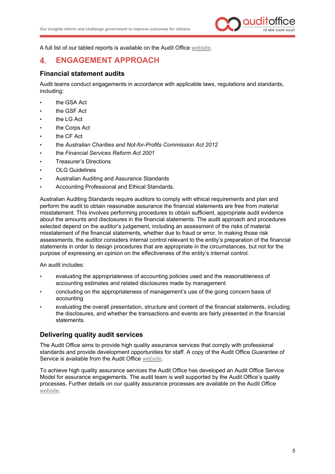

A full list of our tabled reports is available on the Audit Office [website.](https://www.audit.nsw.gov.au/our-work/reports?progress_id%5B17%5D=17)

#### <span id="page-6-0"></span>**ENGAGEMENT APPROACH**  $\blacktriangle$

#### **Financial statement audits**

Audit teams conduct engagements in accordance with applicable laws, regulations and standards, including:

- the GSA Act
- the GSF Act
- the LG Act
- the Corps Act
- the CF Act
- the *Australian Charities and Not-for-Profits Commission Act 2012*
- the *Financial Services Reform Act 2001*
- Treasurer's Directions
- OLG Guidelines
- Australian Auditing and Assurance Standards
- Accounting Professional and Ethical Standards.

Australian Auditing Standards require auditors to comply with ethical requirements and plan and perform the audit to obtain reasonable assurance the financial statements are free from material misstatement. This involves performing procedures to obtain sufficient, appropriate audit evidence about the amounts and disclosures in the financial statements. The audit approach and procedures selected depend on the auditor's judgement, including an assessment of the risks of material misstatement of the financial statements, whether due to fraud or error. In making those risk assessments, the auditor considers internal control relevant to the entity's preparation of the financial statements in order to design procedures that are appropriate in the circumstances, but not for the purpose of expressing an opinion on the effectiveness of the entity's internal control.

#### An audit includes:

- evaluating the appropriateness of accounting policies used and the reasonableness of accounting estimates and related disclosures made by management
- concluding on the appropriateness of management's use of the going concern basis of accounting
- evaluating the overall presentation, structure and content of the financial statements, including the disclosures, and whether the transactions and events are fairly presented in the financial statements.

#### **Delivering quality audit services**

The Audit Office aims to provide high quality assurance services that comply with professional standards and provide development opportunities for staff. A copy of the Audit Office Guarantee of Service is available from the Audit Office [website.](https://www.audit.nsw.gov.au/our-stakeholders)

To achieve high quality assurance services the Audit Office has developed an Audit Office Service Model for assurance engagements. The audit team is well supported by the Audit Office's quality processes. Further details on our quality assurance processes are available on the Audit Office [website.](https://www.audit.nsw.gov.au/who-we-are/our-accountability/our-quality-assurance)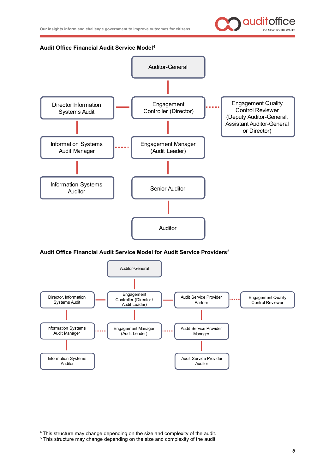

#### **Audit Office Financial Audit Service Model[4](#page-7-0)**



#### **Audit Office Financial Audit Service Model for Audit Service Providers[5](#page-7-1)**



<span id="page-7-0"></span><sup>4</sup> This structure may change depending on the size and complexity of the audit.

<span id="page-7-1"></span><sup>5</sup> This structure may change depending on the size and complexity of the audit.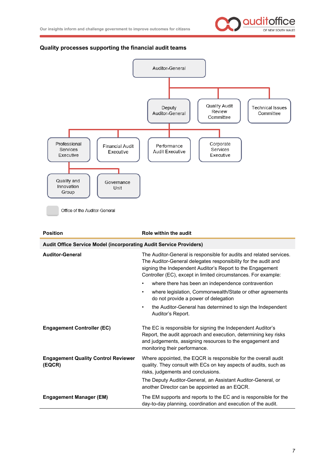

#### **Quality processes supporting the financial audit teams**



| <b>Auditor-General</b>                               | The Auditor-General is responsible for audits and related services.<br>The Auditor-General delegates responsibility for the audit and<br>signing the Independent Auditor's Report to the Engagement<br>Controller (EC), except in limited circumstances. For example: |  |
|------------------------------------------------------|-----------------------------------------------------------------------------------------------------------------------------------------------------------------------------------------------------------------------------------------------------------------------|--|
|                                                      | where there has been an independence contravention<br>٠                                                                                                                                                                                                               |  |
|                                                      | where legislation, Commonwealth/State or other agreements<br>٠<br>do not provide a power of delegation                                                                                                                                                                |  |
|                                                      | the Auditor-General has determined to sign the Independent<br>$\bullet$<br>Auditor's Report.                                                                                                                                                                          |  |
| <b>Engagement Controller (EC)</b>                    | The EC is responsible for signing the Independent Auditor's<br>Report, the audit approach and execution, determining key risks<br>and judgements, assigning resources to the engagement and<br>monitoring their performance.                                          |  |
| <b>Engagement Quality Control Reviewer</b><br>(EQCR) | Where appointed, the EQCR is responsible for the overall audit<br>quality. They consult with ECs on key aspects of audits, such as<br>risks, judgements and conclusions.                                                                                              |  |
|                                                      | The Deputy Auditor-General, an Assistant Auditor-General, or<br>another Director can be appointed as an EQCR.                                                                                                                                                         |  |
| <b>Engagement Manager (EM)</b>                       | The EM supports and reports to the EC and is responsible for the<br>day-to-day planning, coordination and execution of the audit.                                                                                                                                     |  |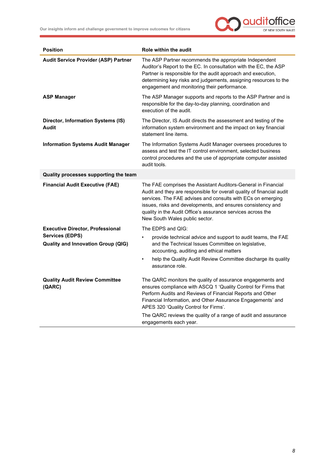

| <b>Position</b>                                                     | Role within the audit                                                                                                                                                                                                                                                                                                                                                 |  |  |  |
|---------------------------------------------------------------------|-----------------------------------------------------------------------------------------------------------------------------------------------------------------------------------------------------------------------------------------------------------------------------------------------------------------------------------------------------------------------|--|--|--|
| <b>Audit Service Provider (ASP) Partner</b>                         | The ASP Partner recommends the appropriate Independent<br>Auditor's Report to the EC. In consultation with the EC, the ASP<br>Partner is responsible for the audit approach and execution,<br>determining key risks and judgements, assigning resources to the<br>engagement and monitoring their performance.                                                        |  |  |  |
| <b>ASP Manager</b>                                                  | The ASP Manager supports and reports to the ASP Partner and is<br>responsible for the day-to-day planning, coordination and<br>execution of the audit.                                                                                                                                                                                                                |  |  |  |
| Director, Information Systems (IS)<br>Audit                         | The Director, IS Audit directs the assessment and testing of the<br>information system environment and the impact on key financial<br>statement line items.                                                                                                                                                                                                           |  |  |  |
| <b>Information Systems Audit Manager</b>                            | The Information Systems Audit Manager oversees procedures to<br>assess and test the IT control environment, selected business<br>control procedures and the use of appropriate computer assisted<br>audit tools.                                                                                                                                                      |  |  |  |
| Quality processes supporting the team                               |                                                                                                                                                                                                                                                                                                                                                                       |  |  |  |
| <b>Financial Audit Executive (FAE)</b>                              | The FAE comprises the Assistant Auditors-General in Financial<br>Audit and they are responsible for overall quality of financial audit<br>services. The FAE advises and consults with ECs on emerging<br>issues, risks and developments, and ensures consistency and<br>quality in the Audit Office's assurance services across the<br>New South Wales public sector. |  |  |  |
| <b>Executive Director, Professional</b>                             | The EDPS and QIG:                                                                                                                                                                                                                                                                                                                                                     |  |  |  |
| <b>Services (EDPS)</b><br><b>Quality and Innovation Group (QIG)</b> | provide technical advice and support to audit teams, the FAE<br>$\bullet$<br>and the Technical Issues Committee on legislative,<br>accounting, auditing and ethical matters                                                                                                                                                                                           |  |  |  |
|                                                                     | help the Quality Audit Review Committee discharge its quality<br>٠<br>assurance role.                                                                                                                                                                                                                                                                                 |  |  |  |
| <b>Quality Audit Review Committee</b><br>(QARC)                     | The QARC monitors the quality of assurance engagements and<br>ensures compliance with ASCQ 1 'Quality Control for Firms that<br>Perform Audits and Reviews of Financial Reports and Other<br>Financial Information, and Other Assurance Engagements' and<br>APES 320 'Quality Control for Firms'.<br>The QARC reviews the quality of a range of audit and assurance   |  |  |  |
|                                                                     | engagements each year.                                                                                                                                                                                                                                                                                                                                                |  |  |  |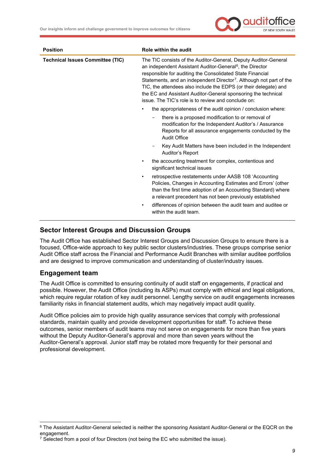

| <b>Position</b>                         | Role within the audit                                                                                                                                                                                                                                                                                                                                                                                                                                                               |  |  |
|-----------------------------------------|-------------------------------------------------------------------------------------------------------------------------------------------------------------------------------------------------------------------------------------------------------------------------------------------------------------------------------------------------------------------------------------------------------------------------------------------------------------------------------------|--|--|
| <b>Technical Issues Committee (TIC)</b> | The TIC consists of the Auditor-General, Deputy Auditor-General<br>an independent Assistant Auditor-General <sup>6</sup> , the Director<br>responsible for auditing the Consolidated State Financial<br>Statements, and an independent Director <sup>7</sup> . Although not part of the<br>TIC, the attendees also include the EDPS (or their delegate) and<br>the EC and Assistant Auditor-General sponsoring the technical<br>issue. The TIC's role is to review and conclude on: |  |  |
|                                         | the appropriateness of the audit opinion / conclusion where:<br>$\bullet$                                                                                                                                                                                                                                                                                                                                                                                                           |  |  |
|                                         | there is a proposed modification to or removal of<br>modification for the Independent Auditor's / Assurance<br>Reports for all assurance engagements conducted by the<br><b>Audit Office</b>                                                                                                                                                                                                                                                                                        |  |  |
|                                         | Key Audit Matters have been included in the Independent<br>-<br>Auditor's Report                                                                                                                                                                                                                                                                                                                                                                                                    |  |  |
|                                         | the accounting treatment for complex, contentious and<br>٠<br>significant technical issues                                                                                                                                                                                                                                                                                                                                                                                          |  |  |
|                                         | retrospective restatements under AASB 108 'Accounting<br>$\bullet$<br>Policies, Changes in Accounting Estimates and Errors' (other<br>than the first time adoption of an Accounting Standard) where<br>a relevant precedent has not been previously established                                                                                                                                                                                                                     |  |  |
|                                         | differences of opinion between the audit team and auditee or<br>٠<br>within the audit team.                                                                                                                                                                                                                                                                                                                                                                                         |  |  |

#### **Sector Interest Groups and Discussion Groups**

The Audit Office has established Sector Interest Groups and Discussion Groups to ensure there is a focused, Office-wide approach to key public sector clusters/industries. These groups comprise senior Audit Office staff across the Financial and Performance Audit Branches with similar auditee portfolios and are designed to improve communication and understanding of cluster/industry issues.

#### **Engagement team**

The Audit Office is committed to ensuring continuity of audit staff on engagements, if practical and possible. However, the Audit Office (including its ASPs) must comply with ethical and legal obligations, which require regular rotation of key audit personnel. Lengthy service on audit engagements increases familiarity risks in financial statement audits, which may negatively impact audit quality.

Audit Office policies aim to provide high quality assurance services that comply with professional standards, maintain quality and provide development opportunities for staff. To achieve these outcomes, senior members of audit teams may not serve on engagements for more than five years without the Deputy Auditor-General's approval and more than seven years without the Auditor-General's approval. Junior staff may be rotated more frequently for their personal and professional development.

<span id="page-10-0"></span><sup>6</sup> The Assistant Auditor-General selected is neither the sponsoring Assistant Auditor-General or the EQCR on the engagement.

<span id="page-10-1"></span><sup>&</sup>lt;sup>7</sup> Selected from a pool of four Directors (not being the EC who submitted the issue).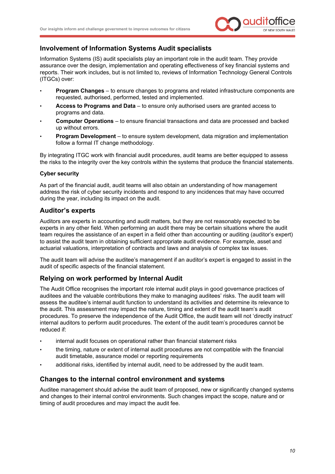

#### **Involvement of Information Systems Audit specialists**

Information Systems (IS) audit specialists play an important role in the audit team. They provide assurance over the design, implementation and operating effectiveness of key financial systems and reports. Their work includes, but is not limited to, reviews of Information Technology General Controls (ITGCs) over:

- **Program Changes** to ensure changes to programs and related infrastructure components are requested, authorised, performed, tested and implemented.
- **Access to Programs and Data** to ensure only authorised users are granted access to programs and data.
- **Computer Operations** to ensure financial transactions and data are processed and backed up without errors.
- **Program Development** to ensure system development, data migration and implementation follow a formal IT change methodology.

By integrating ITGC work with financial audit procedures, audit teams are better equipped to assess the risks to the integrity over the key controls within the systems that produce the financial statements.

#### **Cyber security**

As part of the financial audit, audit teams will also obtain an understanding of how management address the risk of cyber security incidents and respond to any incidences that may have occurred during the year, including its impact on the audit.

#### **Auditor's experts**

Auditors are experts in accounting and audit matters, but they are not reasonably expected to be experts in any other field. When performing an audit there may be certain situations where the audit team requires the assistance of an expert in a field other than accounting or auditing (auditor's expert) to assist the audit team in obtaining sufficient appropriate audit evidence. For example, asset and actuarial valuations, interpretation of contracts and laws and analysis of complex tax issues.

The audit team will advise the auditee's management if an auditor's expert is engaged to assist in the audit of specific aspects of the financial statement.

#### **Relying on work performed by Internal Audit**

The Audit Office recognises the important role internal audit plays in good governance practices of auditees and the valuable contributions they make to managing auditees' risks. The audit team will assess the auditee's internal audit function to understand its activities and determine its relevance to the audit. This assessment may impact the nature, timing and extent of the audit team's audit procedures. To preserve the independence of the Audit Office, the audit team will not 'directly instruct' internal auditors to perform audit procedures. The extent of the audit team's procedures cannot be reduced if:

- internal audit focuses on operational rather than financial statement risks
- the timing, nature or extent of internal audit procedures are not compatible with the financial audit timetable, assurance model or reporting requirements
- additional risks, identified by internal audit, need to be addressed by the audit team.

#### **Changes to the internal control environment and systems**

Auditee management should advise the audit team of proposed, new or significantly changed systems and changes to their internal control environments. Such changes impact the scope, nature and or timing of audit procedures and may impact the audit fee.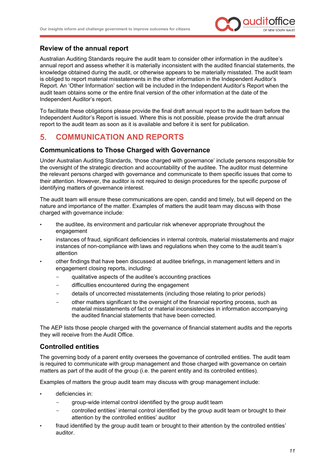

#### **Review of the annual report**

Australian Auditing Standards require the audit team to consider other information in the auditee's annual report and assess whether it is materially inconsistent with the audited financial statements, the knowledge obtained during the audit, or otherwise appears to be materially misstated. The audit team is obliged to report material misstatements in the other information in the Independent Auditor's Report. An 'Other Information' section will be included in the Independent Auditor's Report when the audit team obtains some or the entire final version of the other information at the date of the Independent Auditor's report.

To facilitate these obligations please provide the final draft annual report to the audit team before the Independent Auditor's Report is issued. Where this is not possible, please provide the draft annual report to the audit team as soon as it is available and before it is sent for publication.

#### <span id="page-12-0"></span>5. **COMMUNICATION AND REPORTS**

#### **Communications to Those Charged with Governance**

Under Australian Auditing Standards, 'those charged with governance' include persons responsible for the oversight of the strategic direction and accountability of the auditee. The auditor must determine the relevant persons charged with governance and communicate to them specific issues that come to their attention. However, the auditor is not required to design procedures for the specific purpose of identifying matters of governance interest.

The audit team will ensure these communications are open, candid and timely, but will depend on the nature and importance of the matter. Examples of matters the audit team may discuss with those charged with governance include:

- the auditee, its environment and particular risk whenever appropriate throughout the engagement
- instances of fraud, significant deficiencies in internal controls, material misstatements and major instances of non-compliance with laws and regulations when they come to the audit team's attention
- other findings that have been discussed at auditee briefings, in management letters and in engagement closing reports, including:
	- qualitative aspects of the auditee's accounting practices
	- difficulties encountered during the engagement
	- details of uncorrected misstatements (including those relating to prior periods)
	- other matters significant to the oversight of the financial reporting process, such as material misstatements of fact or material inconsistencies in information accompanying the audited financial statements that have been corrected.

The AEP lists those people charged with the governance of financial statement audits and the reports they will receive from the Audit Office.

#### **Controlled entities**

The governing body of a parent entity oversees the governance of controlled entities. The audit team is required to communicate with group management and those charged with governance on certain matters as part of the audit of the group (i.e. the parent entity and its controlled entities).

Examples of matters the group audit team may discuss with group management include:

- deficiencies in:
	- group-wide internal control identified by the group audit team
	- controlled entities' internal control identified by the group audit team or brought to their attention by the controlled entities' auditor
- fraud identified by the group audit team or brought to their attention by the controlled entities' auditor.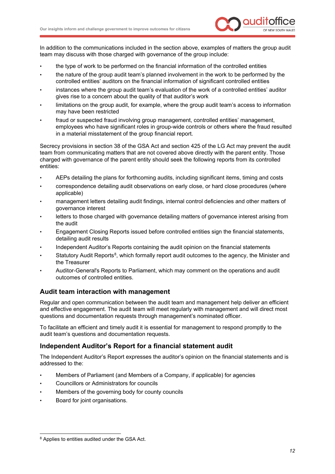

In addition to the communications included in the section above, examples of matters the group audit team may discuss with those charged with governance of the group include:

- the type of work to be performed on the financial information of the controlled entities
- the nature of the group audit team's planned involvement in the work to be performed by the controlled entities' auditors on the financial information of significant controlled entities
- instances where the group audit team's evaluation of the work of a controlled entities' auditor gives rise to a concern about the quality of that auditor's work
- limitations on the group audit, for example, where the group audit team's access to information may have been restricted
- fraud or suspected fraud involving group management, controlled entities' management, employees who have significant roles in group-wide controls or others where the fraud resulted in a material misstatement of the group financial report.

Secrecy provisions in section 38 of the GSA Act and section 425 of the LG Act may prevent the audit team from communicating matters that are not covered above directly with the parent entity. Those charged with governance of the parent entity should seek the following reports from its controlled entities:

- AEPs detailing the plans for forthcoming audits, including significant items, timing and costs
- correspondence detailing audit observations on early close, or hard close procedures (where applicable)
- management letters detailing audit findings, internal control deficiencies and other matters of governance interest
- letters to those charged with governance detailing matters of governance interest arising from the audit
- Engagement Closing Reports issued before controlled entities sign the financial statements, detailing audit results
- Independent Auditor's Reports containing the audit opinion on the financial statements
- Statutory Audit Reports<sup>8</sup>, which formally report audit outcomes to the agency, the Minister and the Treasurer
- Auditor-General's Reports to Parliament, which may comment on the operations and audit outcomes of controlled entities.

#### **Audit team interaction with management**

Regular and open communication between the audit team and management help deliver an efficient and effective engagement. The audit team will meet regularly with management and will direct most questions and documentation requests through management's nominated officer.

<span id="page-13-1"></span>To facilitate an efficient and timely audit it is essential for management to respond promptly to the audit team's questions and documentation requests.

#### **Independent Auditor's Report for a financial statement audit**

The Independent Auditor's Report expresses the auditor's opinion on the financial statements and is addressed to the:

- Members of Parliament (and Members of a Company, if applicable) for agencies
- Councillors or Administrators for councils
- Members of the governing body for county councils
- Board for joint organisations.

<span id="page-13-0"></span><sup>&</sup>lt;sup>8</sup> Applies to entities audited under the GSA Act.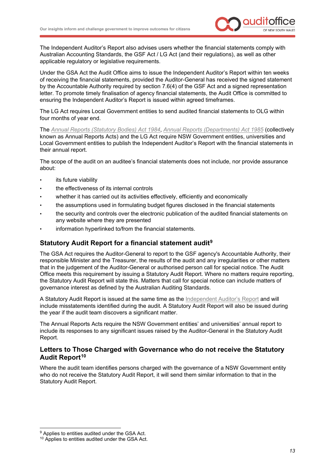

The Independent Auditor's Report also advises users whether the financial statements comply with Australian Accounting Standards, the GSF Act / LG Act (and their regulations), as well as other applicable regulatory or legislative requirements.

Under the GSA Act the Audit Office aims to issue the Independent Auditor's Report within ten weeks of receiving the financial statements, provided the Auditor-General has received the signed statement by the Accountable Authority required by section 7.6(4) of the GSF Act and a signed representation letter. To promote timely finalisation of agency financial statements, the Audit Office is committed to ensuring the Independent Auditor's Report is issued within agreed timeframes.

The LG Act requires Local Government entities to send audited financial statements to OLG within four months of year end.

The *[Annual Reports \(Statutory Bodies\) Act 1984](https://www.legislation.nsw.gov.au/view/html/inforce/current/act-1984-087)*, *[Annual Reports \(Departments\) Act 1985](https://www.legislation.nsw.gov.au/view/html/inforce/current/act-1985-156)* (collectively known as Annual Reports Acts) and the LG Act require NSW Government entities, universities and Local Government entities to publish the Independent Auditor's Report with the financial statements in their annual report.

The scope of the audit on an auditee's financial statements does not include, nor provide assurance about:

- its future viability
- the effectiveness of its internal controls
- whether it has carried out its activities effectively, efficiently and economically
- the assumptions used in formulating budget figures disclosed in the financial statements
- the security and controls over the electronic publication of the audited financial statements on any website where they are presented
- information hyperlinked to/from the financial statements.

#### **Statutory Audit Report for a financial statement audit[9](#page-14-0)**

The GSA Act requires the Auditor-General to report to the GSF agency's Accountable Authority, their responsible Minister and the Treasurer, the results of the audit and any irregularities or other matters that in the judgement of the Auditor-General or authorised person call for special notice. The Audit Office meets this requirement by issuing a Statutory Audit Report. Where no matters require reporting, the Statutory Audit Report will state this. Matters that call for special notice can include matters of governance interest as defined by the Australian Auditing Standards.

A Statutory Audit Report is issued at the same time as the [Independent Auditor's Report](#page-13-1) and will include misstatements identified during the audit. A Statutory Audit Report will also be issued during the year if the audit team discovers a significant matter.

The Annual Reports Acts require the NSW Government entities' and universities' annual report to include its responses to any significant issues raised by the Auditor-General in the Statutory Audit Report.

#### **Letters to Those Charged with Governance who do not receive the Statutory Audit Report[10](#page-14-1)**

Where the audit team identifies persons charged with the governance of a NSW Government entity who do not receive the Statutory Audit Report, it will send them similar information to that in the Statutory Audit Report.

<span id="page-14-0"></span><sup>&</sup>lt;sup>9</sup> Applies to entities audited under the GSA Act.

<span id="page-14-1"></span><sup>&</sup>lt;sup>10</sup> Applies to entities audited under the GSA Act.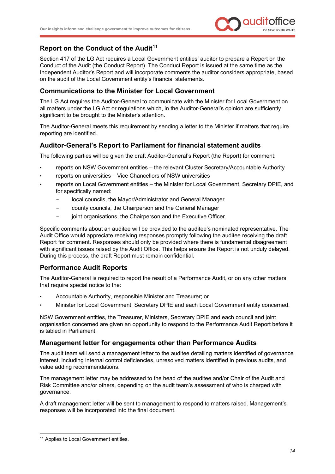

#### **Report on the Conduct of the Audit[11](#page-15-0)**

Section 417 of the LG Act requires a Local Government entities' auditor to prepare a Report on the Conduct of the Audit (the Conduct Report). The Conduct Report is issued at the same time as the Independent Auditor's Report and will incorporate comments the auditor considers appropriate, based on the audit of the Local Government entity's financial statements.

#### **Communications to the Minister for Local Government**

The LG Act requires the Auditor-General to communicate with the Minister for Local Government on all matters under the LG Act or regulations which, in the Auditor-General's opinion are sufficiently significant to be brought to the Minister's attention.

The Auditor-General meets this requirement by sending a letter to the Minister if matters that require reporting are identified.

#### **Auditor-General's Report to Parliament for financial statement audits**

The following parties will be given the draft Auditor-General's Report (the Report) for comment:

- reports on NSW Government entities the relevant Cluster Secretary/Accountable Authority
- reports on universities Vice Chancellors of NSW universities
- reports on Local Government entities the Minister for Local Government, Secretary DPIE, and for specifically named:
	- local councils, the Mayor/Administrator and General Manager
	- county councils, the Chairperson and the General Manager
	- joint organisations, the Chairperson and the Executive Officer.

Specific comments about an auditee will be provided to the auditee's nominated representative. The Audit Office would appreciate receiving responses promptly following the auditee receiving the draft Report for comment. Responses should only be provided where there is fundamental disagreement with significant issues raised by the Audit Office. This helps ensure the Report is not unduly delayed. During this process, the draft Report must remain confidential.

#### **Performance Audit Reports**

The Auditor-General is required to report the result of a Performance Audit, or on any other matters that require special notice to the:

- Accountable Authority, responsible Minister and Treasurer; or
- Minister for Local Government, Secretary DPIE and each Local Government entity concerned.

NSW Government entities, the Treasurer, Ministers, Secretary DPIE and each council and joint organisation concerned are given an opportunity to respond to the Performance Audit Report before it is tabled in Parliament.

#### **Management letter for engagements other than Performance Audits**

The audit team will send a management letter to the auditee detailing matters identified of governance interest, including internal control deficiencies, unresolved matters identified in previous audits, and value adding recommendations.

The management letter may be addressed to the head of the auditee and/or Chair of the Audit and Risk Committee and/or others, depending on the audit team's assessment of who is charged with governance.

A draft management letter will be sent to management to respond to matters raised. Management's responses will be incorporated into the final document.

<span id="page-15-0"></span><sup>&</sup>lt;sup>11</sup> Applies to Local Government entities.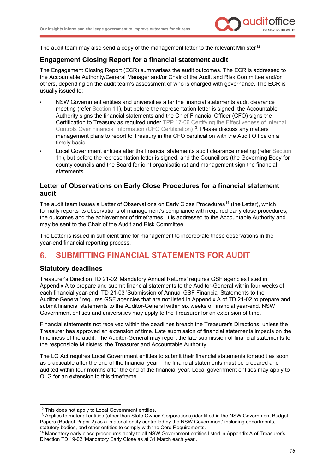

The audit team may also send a copy of the management letter to the relevant Minister<sup>12</sup>.

## **Engagement Closing Report for a financial statement audit**

The Engagement Closing Report (ECR) summarises the audit outcomes. The ECR is addressed to the Accountable Authority/General Manager and/or Chair of the Audit and Risk Committee and/or others, depending on the audit team's assessment of who is charged with governance. The ECR is usually issued to:

- NSW Government entities and universities after the financial statements audit clearance meeting (refer [Section 11\)](#page-21-0), but before the representation letter is signed, the Accountable Authority signs the financial statements and the Chief Financial Officer (CFO) signs the Certification to Treasury as required under TPP 17-06 Certifying the Effectiveness of Internal [Controls Over Financial Information \(CFO Certification\)](https://www.treasury.nsw.gov.au/sites/default/files/2017-05/TPP17-06%20Certifying%20the%20effectiveness%20of%20internal%20controls%20over%20financial%20information%20-%20pdf.pdf)<sup>[13](#page-16-2)</sup>. Please discuss any matters management plans to report to Treasury in the CFO certification with the Audit Office on a timely basis
- Local Government entities after the financial statements audit clearance meeting (refer [Section](#page-21-0)  [11](#page-21-0)), but before the representation letter is signed, and the Councillors (the Governing Body for county councils and the Board for joint organisations) and management sign the financial statements.

#### **Letter of Observations on Early Close Procedures for a financial statement audit**

The audit team issues a Letter of Observations on Early Close Procedures<sup>14</sup> (the Letter), which formally reports its observations of management's compliance with required early close procedures, the outcomes and the achievement of timeframes. It is addressed to the Accountable Authority and may be sent to the Chair of the Audit and Risk Committee.

The Letter is issued in sufficient time for management to incorporate these observations in the year-end financial reporting process.

#### <span id="page-16-0"></span>6. **SUBMITTING FINANCIAL STATEMENTS FOR AUDIT**

#### **Statutory deadlines**

Treasurer's Direction TD 21-02 'Mandatory Annual Returns' requires GSF agencies listed in Appendix A to prepare and submit financial statements to the Auditor-General within four weeks of each financial year-end. TD 21-03 'Submission of Annual GSF Financial Statements to the Auditor-General' requires GSF agencies that are not listed in Appendix A of TD 21-02 to prepare and submit financial statements to the Auditor-General within six weeks of financial year-end. NSW Government entities and universities may apply to the Treasurer for an extension of time.

Financial statements not received within the deadlines breach the Treasurer's Directions, unless the Treasurer has approved an extension of time. Late submission of financial statements impacts on the timeliness of the audit. The Auditor-General may report the late submission of financial statements to the responsible Ministers, the Treasurer and Accountable Authority.

The LG Act requires Local Government entities to submit their financial statements for audit as soon as practicable after the end of the financial year. The financial statements must be prepared and audited within four months after the end of the financial year. Local government entities may apply to OLG for an extension to this timeframe.

<span id="page-16-1"></span><sup>&</sup>lt;sup>12</sup> This does not apply to Local Government entities.

<span id="page-16-2"></span><sup>&</sup>lt;sup>13</sup> Applies to material entities (other than State Owned Corporations) identified in the NSW Government Budget Papers (Budget Paper 2) as a 'material entity controlled by the NSW Government' including departments, statutory bodies, and other entities to comply with the Core Requirements.

<span id="page-16-3"></span><sup>14</sup> Mandatory early close procedures apply to all NSW Government entities listed in Appendix A of Treasurer's Direction TD 19-02 'Mandatory Early Close as at 31 March each year'.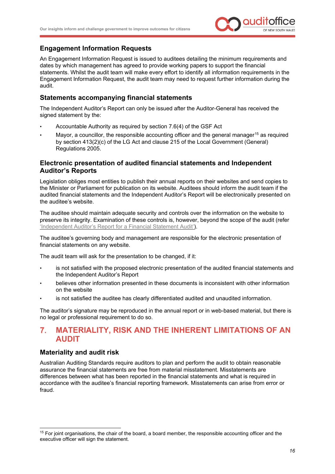

#### **Engagement Information Requests**

An Engagement Information Request is issued to auditees detailing the minimum requirements and dates by which management has agreed to provide working papers to support the financial statements. Whilst the audit team will make every effort to identify all information requirements in the Engagement Information Request, the audit team may need to request further information during the audit.

#### **Statements accompanying financial statements**

The Independent Auditor's Report can only be issued after the Auditor-General has received the signed statement by the:

- Accountable Authority as required by section 7.6(4) of the GSF Act
- Mayor, a councillor, the responsible accounting officer and the general manager<sup>[15](#page-17-1)</sup> as required by section 413(2)(c) of the LG Act and clause 215 of the Local Government (General) Regulations 2005.

#### **Electronic presentation of audited financial statements and Independent Auditor's Reports**

Legislation obliges most entities to publish their annual reports on their websites and send copies to the Minister or Parliament for publication on its website. Auditees should inform the audit team if the audited financial statements and the Independent Auditor's Report will be electronically presented on the auditee's website.

The auditee should maintain adequate security and controls over the information on the website to preserve its integrity. Examination of these controls is, however, beyond the scope of the audit (refer ['Independent Auditor's Report for a Financial Statement Audit'\)](#page-13-1).

The auditee's governing body and management are responsible for the electronic presentation of financial statements on any website.

The audit team will ask for the presentation to be changed, if it:

- is not satisfied with the proposed electronic presentation of the audited financial statements and the Independent Auditor's Report
- believes other information presented in these documents is inconsistent with other information on the website
- is not satisfied the auditee has clearly differentiated audited and unaudited information.

The auditor's signature may be reproduced in the annual report or in web-based material, but there is no legal or professional requirement to do so.

#### <span id="page-17-0"></span>**MATERIALITY, RISK AND THE INHERENT LIMITATIONS OF AN**   $7.$ **AUDIT**

#### **Materiality and audit risk**

Australian Auditing Standards require auditors to plan and perform the audit to obtain reasonable assurance the financial statements are free from material misstatement. Misstatements are differences between what has been reported in the financial statements and what is required in accordance with the auditee's financial reporting framework. Misstatements can arise from error or fraud.

<span id="page-17-1"></span><sup>&</sup>lt;sup>15</sup> For joint organisations, the chair of the board, a board member, the responsible accounting officer and the executive officer will sign the statement.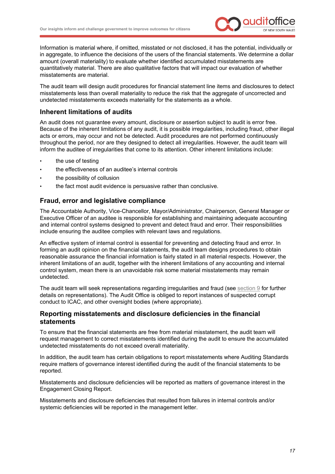

Information is material where, if omitted, misstated or not disclosed, it has the potential, individually or in aggregate, to influence the decisions of the users of the financial statements. We determine a dollar amount (overall materiality) to evaluate whether identified accumulated misstatements are quantitatively material. There are also qualitative factors that will impact our evaluation of whether misstatements are material.

The audit team will design audit procedures for financial statement line items and disclosures to detect misstatements less than overall materiality to reduce the risk that the aggregate of uncorrected and undetected misstatements exceeds materiality for the statements as a whole.

#### **Inherent limitations of audits**

An audit does not guarantee every amount, disclosure or assertion subject to audit is error free. Because of the inherent limitations of any audit, it is possible irregularities, including fraud, other illegal acts or errors, may occur and not be detected. Audit procedures are not performed continuously throughout the period, nor are they designed to detect all irregularities. However, the audit team will inform the auditee of irregularities that come to its attention. Other inherent limitations include:

- the use of testing
- the effectiveness of an auditee's internal controls
- the possibility of collusion
- the fact most audit evidence is persuasive rather than conclusive.

#### **Fraud, error and legislative compliance**

The Accountable Authority, Vice-Chancellor, Mayor/Administrator, Chairperson, General Manager or Executive Officer of an auditee is responsible for establishing and maintaining adequate accounting and internal control systems designed to prevent and detect fraud and error. Their responsibilities include ensuring the auditee complies with relevant laws and regulations.

An effective system of internal control is essential for preventing and detecting fraud and error. In forming an audit opinion on the financial statements, the audit team designs procedures to obtain reasonable assurance the financial information is fairly stated in all material respects. However, the inherent limitations of an audit, together with the inherent limitations of any accounting and internal control system, mean there is an unavoidable risk some material misstatements may remain undetected.

The audit team will seek representations regarding irregularities and fraud (see [section 9](#page-20-0) for further details on representations). The Audit Office is obliged to report instances of suspected corrupt conduct to ICAC, and other oversight bodies (where appropriate).

#### **Reporting misstatements and disclosure deficiencies in the financial statements**

To ensure that the financial statements are free from material misstatement, the audit team will request management to correct misstatements identified during the audit to ensure the accumulated undetected misstatements do not exceed overall materiality.

In addition, the audit team has certain obligations to report misstatements where Auditing Standards require matters of governance interest identified during the audit of the financial statements to be reported.

Misstatements and disclosure deficiencies will be reported as matters of governance interest in the Engagement Closing Report.

Misstatements and disclosure deficiencies that resulted from failures in internal controls and/or systemic deficiencies will be reported in the management letter.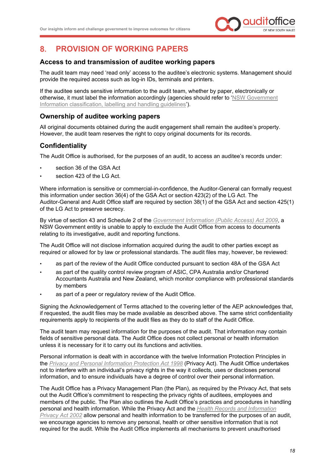

#### <span id="page-19-0"></span> $\mathbf{R}$ **PROVISION OF WORKING PAPERS**

#### **Access to and transmission of auditee working papers**

The audit team may need 'read only' access to the auditee's electronic systems. Management should provide the required access such as log-in IDs, terminals and printers.

If the auditee sends sensitive information to the audit team, whether by paper, electronically or otherwise, it must label the information accordingly (agencies should refer to ['NSW Government](https://www.digital.nsw.gov.au/policy/managing-data-information/information-classification-labelling-and-handling-guidelines)  [Information classification, labelling and handling guidelines'\)](https://www.digital.nsw.gov.au/policy/managing-data-information/information-classification-labelling-and-handling-guidelines).

#### **Ownership of auditee working papers**

All original documents obtained during the audit engagement shall remain the auditee's property. However, the audit team reserves the right to copy original documents for its records.

#### **Confidentiality**

The Audit Office is authorised, for the purposes of an audit, to access an auditee's records under:

- section 36 of the GSA Act
- section 423 of the LG Act.

Where information is sensitive or commercial-in-confidence, the Auditor-General can formally request this information under section 36(4) of the GSA Act or section 423(2) of the LG Act. The Auditor-General and Audit Office staff are required by section 38(1) of the GSA Act and section 425(1) of the LG Act to preserve secrecy.

By virtue of section 43 and Schedule 2 of the *[Government Information \(Public Access\) Act 2009](https://www.legislation.nsw.gov.au/view/html/inforce/current/act-2009-052)*, a NSW Government entity is unable to apply to exclude the Audit Office from access to documents relating to its investigative, audit and reporting functions.

The Audit Office will not disclose information acquired during the audit to other parties except as required or allowed for by law or professional standards. The audit files may, however, be reviewed:

- as part of the review of the Audit Office conducted pursuant to section 48A of the GSA Act
- as part of the quality control review program of ASIC, CPA Australia and/or Chartered Accountants Australia and New Zealand, which monitor compliance with professional standards by members
- as part of a peer or regulatory review of the Audit Office.

Signing the Acknowledgement of Terms attached to the covering letter of the AEP acknowledges that, if requested, the audit files may be made available as described above. The same strict confidentiality requirements apply to recipients of the audit files as they do to staff of the Audit Office.

The audit team may request information for the purposes of the audit. That information may contain fields of sensitive personal data. The Audit Office does not collect personal or health information unless it is necessary for it to carry out its functions and activities.

Personal information is dealt with in accordance with the twelve Information Protection Principles in the *[Privacy and Personal Information Protection Act 1998](https://www.legislation.nsw.gov.au/#/view/act/1998/133)* (Privacy Act). The Audit Office undertakes not to interfere with an individual's privacy rights in the way it collects, uses or discloses personal information, and to ensure individuals have a degree of control over their personal information.

The Audit Office has a Privacy Management Plan (the Plan), as required by the Privacy Act, that sets out the Audit Office's commitment to respecting the privacy rights of auditees, employees and members of the public. The Plan also outlines the Audit Office's practices and procedures in handling personal and health information. While the Privacy Act and the *[Health Records and Information](https://www.legislation.nsw.gov.au/#/view/act/2002/71)  [Privacy Act 2002](https://www.legislation.nsw.gov.au/#/view/act/2002/71)* allow personal and health information to be transferred for the purposes of an audit, we encourage agencies to remove any personal, health or other sensitive information that is not required for the audit. While the Audit Office implements all mechanisms to prevent unauthorised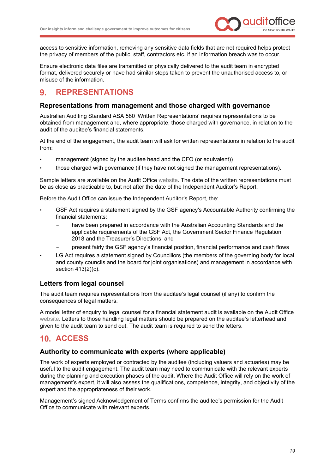

access to sensitive information, removing any sensitive data fields that are not required helps protect the privacy of members of the public, staff, contractors etc. if an information breach was to occur.

Ensure electronic data files are transmitted or physically delivered to the audit team in encrypted format, delivered securely or have had similar steps taken to prevent the unauthorised access to, or misuse of the information.

#### <span id="page-20-0"></span>**REPRESENTATIONS**  $\mathbf{Q}$

#### **Representations from management and those charged with governance**

Australian Auditing Standard ASA 580 'Written Representations' requires representations to be obtained from management and, where appropriate, those charged with governance, in relation to the audit of the auditee's financial statements.

At the end of the engagement, the audit team will ask for written representations in relation to the audit from:

- management (signed by the auditee head and the CFO (or equivalent))
- those charged with governance (if they have not signed the management representations).

Sample letters are available on the Audit Office [website.](https://www.audit.nsw.gov.au/our-stakeholders/state-entities) The date of the written representations must be as close as practicable to, but not after the date of the Independent Auditor's Report.

Before the Audit Office can issue the Independent Auditor's Report, the:

- GSF Act requires a statement signed by the GSF agency's Accountable Authority confirming the financial statements:
	- have been prepared in accordance with the Australian Accounting Standards and the applicable requirements of the GSF Act, the Government Sector Finance Regulation 2018 and the Treasurer's Directions, and
	- present fairly the GSF agency's financial position, financial performance and cash flows
- LG Act requires a statement signed by Councillors (the members of the governing body for local and county councils and the board for joint organisations) and management in accordance with section 413(2)(c).

#### **Letters from legal counsel**

The audit team requires representations from the auditee's legal counsel (if any) to confirm the consequences of legal matters.

A model letter of enquiry to legal counsel for a financial statement audit is available on the Audit Office [website.](https://www.audit.nsw.gov.au/our-stakeholders/state-entities) Letters to those handling legal matters should be prepared on the auditee's letterhead and given to the audit team to send out. The audit team is required to send the letters.

# <span id="page-20-1"></span>**ACCESS**

#### **Authority to communicate with experts (where applicable)**

The work of experts employed or contracted by the auditee (including valuers and actuaries) may be useful to the audit engagement. The audit team may need to communicate with the relevant experts during the planning and execution phases of the audit. Where the Audit Office will rely on the work of management's expert, it will also assess the qualifications, competence, integrity, and objectivity of the expert and the appropriateness of their work.

Management's signed Acknowledgement of Terms confirms the auditee's permission for the Audit Office to communicate with relevant experts.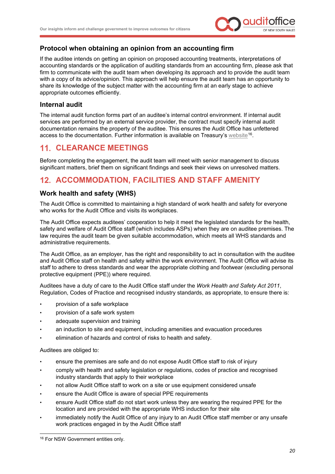

#### **Protocol when obtaining an opinion from an accounting firm**

If the auditee intends on getting an opinion on proposed accounting treatments, interpretations of accounting standards or the application of auditing standards from an accounting firm, please ask that firm to communicate with the audit team when developing its approach and to provide the audit team with a copy of its advice/opinion. This approach will help ensure the audit team has an opportunity to share its knowledge of the subject matter with the accounting firm at an early stage to achieve appropriate outcomes efficiently.

#### **Internal audit**

The internal audit function forms part of an auditee's internal control environment. If internal audit services are performed by an external service provider, the contract must specify internal audit documentation remains the property of the auditee. This ensures the Audit Office has unfettered access to the documentation. Further information is available on Treasury's [website](http://www.treasury.nsw.gov.au/)[16](#page-21-2).

# <span id="page-21-0"></span>**CLEARANCE MEETINGS**

Before completing the engagement, the audit team will meet with senior management to discuss significant matters, brief them on significant findings and seek their views on unresolved matters.

# <span id="page-21-1"></span>**ACCOMMODATION, FACILITIES AND STAFF AMENITY**

#### **Work health and safety (WHS)**

The Audit Office is committed to maintaining a high standard of work health and safety for everyone who works for the Audit Office and visits its workplaces.

The Audit Office expects auditees' cooperation to help it meet the legislated standards for the health, safety and welfare of Audit Office staff (which includes ASPs) when they are on auditee premises. The law requires the audit team be given suitable accommodation, which meets all WHS standards and administrative requirements.

The Audit Office, as an employer, has the right and responsibility to act in consultation with the auditee and Audit Office staff on health and safety within the work environment. The Audit Office will advise its staff to adhere to dress standards and wear the appropriate clothing and footwear (excluding personal protective equipment (PPE)) where required.

Auditees have a duty of care to the Audit Office staff under the *Work Health and Safety Act 2011*, Regulation, Codes of Practice and recognised industry standards, as appropriate, to ensure there is:

- provision of a safe workplace
- provision of a safe work system
- adequate supervision and training
- an induction to site and equipment, including amenities and evacuation procedures
- elimination of hazards and control of risks to health and safety.

Auditees are obliged to:

- ensure the premises are safe and do not expose Audit Office staff to risk of injury
- comply with health and safety legislation or regulations, codes of practice and recognised industry standards that apply to their workplace
- not allow Audit Office staff to work on a site or use equipment considered unsafe
- ensure the Audit Office is aware of special PPE requirements
- ensure Audit Office staff do not start work unless they are wearing the required PPE for the location and are provided with the appropriate WHS induction for their site
- immediately notify the Audit Office of any injury to an Audit Office staff member or any unsafe work practices engaged in by the Audit Office staff

<span id="page-21-2"></span><sup>&</sup>lt;sup>16</sup> For NSW Government entities only.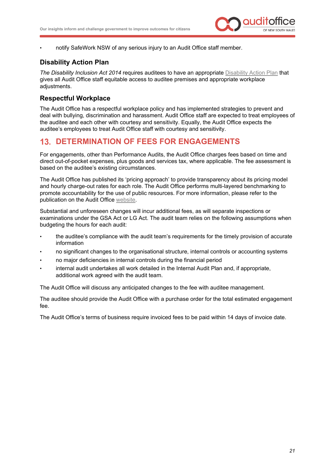

• notify SafeWork NSW of any serious injury to an Audit Office staff member.

# **Disability Action Plan**

*The Disability Inclusion Act 2014* requires auditees to have an appropriate [Disability Action Plan](https://www.facs.nsw.gov.au/inclusion/advisory-councils/disability/inclusion-plans) that gives all Audit Office staff equitable access to auditee premises and appropriate workplace adjustments.

### **Respectful Workplace**

The Audit Office has a respectful workplace policy and has implemented strategies to prevent and deal with bullying, discrimination and harassment. Audit Office staff are expected to treat employees of the auditee and each other with courtesy and sensitivity. Equally, the Audit Office expects the auditee's employees to treat Audit Office staff with courtesy and sensitivity.

# <span id="page-22-0"></span>**DETERMINATION OF FEES FOR ENGAGEMENTS**

For engagements, other than Performance Audits, the Audit Office charges fees based on time and direct out-of-pocket expenses, plus goods and services tax, where applicable. The fee assessment is based on the auditee's existing circumstances.

The Audit Office has published its 'pricing approach' to provide transparency about its pricing model and hourly charge-out rates for each role. The Audit Office performs multi-layered benchmarking to promote accountability for the use of public resources. For more information, please refer to the publication on the Audit Office [website.](https://www.audit.nsw.gov.au/our-stakeholders)

Substantial and unforeseen changes will incur additional fees, as will separate inspections or examinations under the GSA Act or LG Act. The audit team relies on the following assumptions when budgeting the hours for each audit:

- the auditee's compliance with the audit team's requirements for the timely provision of accurate information
- no significant changes to the organisational structure, internal controls or accounting systems
- no major deficiencies in internal controls during the financial period
- internal audit undertakes all work detailed in the Internal Audit Plan and, if appropriate, additional work agreed with the audit team.

The Audit Office will discuss any anticipated changes to the fee with auditee management.

The auditee should provide the Audit Office with a purchase order for the total estimated engagement fee.

The Audit Office's terms of business require invoiced fees to be paid within 14 days of invoice date.